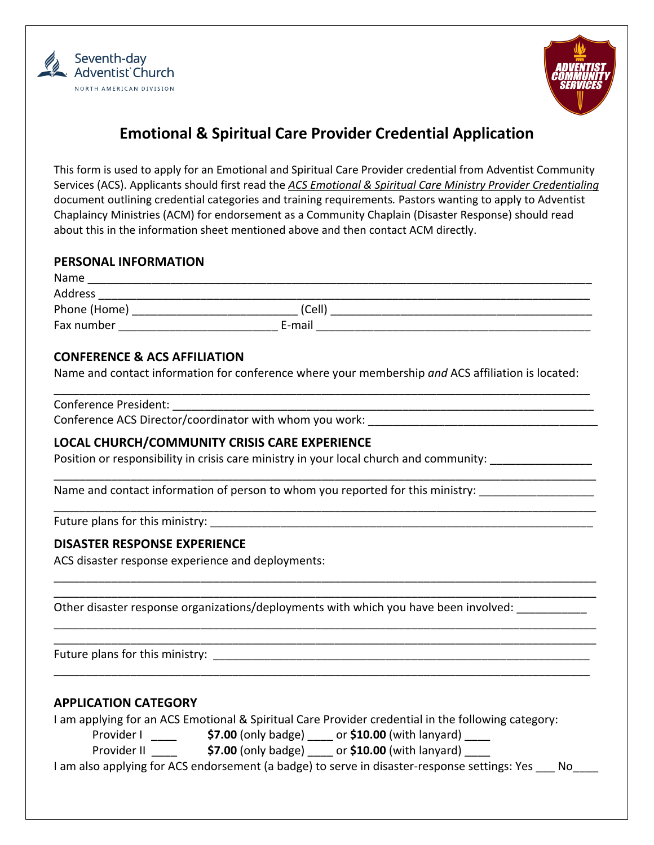



# **Emotional & Spiritual Care Provider Credential Application**

This form is used to apply for an Emotional and Spiritual Care Provider credential from Adventist Community Services (ACS). Applicants should first read the *ACS Emotional & Spiritual Care Ministry Provider Credentialing*  document outlining credential categories and training requirements*.* Pastors wanting to apply to Adventist Chaplaincy Ministries (ACM) for endorsement as a Community Chaplain (Disaster Response) should read about this in the information sheet mentioned above and then contact ACM directly.

### **PERSONAL INFORMATION**

| Name         |        |
|--------------|--------|
| Address      |        |
| Phone (Home) | (Cell) |
| Fax number   | E-mail |

## **CONFERENCE & ACS AFFILIATION**

Name and contact information for conference where your membership *and* ACS affiliation is located: \_\_\_\_\_\_\_\_\_\_\_\_\_\_\_\_\_\_\_\_\_\_\_\_\_\_\_\_\_\_\_\_\_\_\_\_\_\_\_\_\_\_\_\_\_\_\_\_\_\_\_\_\_\_\_\_\_\_\_\_\_\_\_\_\_\_\_\_\_\_\_\_\_\_\_\_\_\_\_\_\_\_\_\_

\_\_\_\_\_\_\_\_\_\_\_\_\_\_\_\_\_\_\_\_\_\_\_\_\_\_\_\_\_\_\_\_\_\_\_\_\_\_\_\_\_\_\_\_\_\_\_\_\_\_\_\_\_\_\_\_\_\_\_\_\_\_\_\_\_\_\_\_\_\_\_\_\_\_\_\_\_\_\_\_\_\_\_\_\_

\_\_\_\_\_\_\_\_\_\_\_\_\_\_\_\_\_\_\_\_\_\_\_\_\_\_\_\_\_\_\_\_\_\_\_\_\_\_\_\_\_\_\_\_\_\_\_\_\_\_\_\_\_\_\_\_\_\_\_\_\_\_\_\_\_\_\_\_\_\_\_\_\_\_\_\_\_\_\_\_\_\_\_\_\_

\_\_\_\_\_\_\_\_\_\_\_\_\_\_\_\_\_\_\_\_\_\_\_\_\_\_\_\_\_\_\_\_\_\_\_\_\_\_\_\_\_\_\_\_\_\_\_\_\_\_\_\_\_\_\_\_\_\_\_\_\_\_\_\_\_\_\_\_\_\_\_\_\_\_\_\_\_\_\_\_\_\_\_\_\_ \_\_\_\_\_\_\_\_\_\_\_\_\_\_\_\_\_\_\_\_\_\_\_\_\_\_\_\_\_\_\_\_\_\_\_\_\_\_\_\_\_\_\_\_\_\_\_\_\_\_\_\_\_\_\_\_\_\_\_\_\_\_\_\_\_\_\_\_\_\_\_\_\_\_\_\_\_\_\_\_\_\_\_\_\_

\_\_\_\_\_\_\_\_\_\_\_\_\_\_\_\_\_\_\_\_\_\_\_\_\_\_\_\_\_\_\_\_\_\_\_\_\_\_\_\_\_\_\_\_\_\_\_\_\_\_\_\_\_\_\_\_\_\_\_\_\_\_\_\_\_\_\_\_\_\_\_\_\_\_\_\_\_\_\_\_\_\_\_\_\_ \_\_\_\_\_\_\_\_\_\_\_\_\_\_\_\_\_\_\_\_\_\_\_\_\_\_\_\_\_\_\_\_\_\_\_\_\_\_\_\_\_\_\_\_\_\_\_\_\_\_\_\_\_\_\_\_\_\_\_\_\_\_\_\_\_\_\_\_\_\_\_\_\_\_\_\_\_\_\_\_\_\_\_\_\_

\_\_\_\_\_\_\_\_\_\_\_\_\_\_\_\_\_\_\_\_\_\_\_\_\_\_\_\_\_\_\_\_\_\_\_\_\_\_\_\_\_\_\_\_\_\_\_\_\_\_\_\_\_\_\_\_\_\_\_\_\_\_\_\_\_\_\_\_\_\_\_\_\_\_\_\_\_\_\_\_\_\_\_\_

Conference President: **Example 2018** 

Conference ACS Director/coordinator with whom you work:

## **LOCAL CHURCH/COMMUNITY CRISIS CARE EXPERIENCE**

Position or responsibility in crisis care ministry in your local church and community: \_\_\_\_\_\_\_\_\_\_\_\_\_

Name and contact information of person to whom you reported for this ministry: \_\_\_\_\_\_\_\_\_\_\_\_\_\_\_\_\_\_\_\_\_\_\_\_\_\_\_\_\_\_

Future plans for this ministry: \_\_\_\_\_\_\_\_\_\_\_\_\_\_\_\_\_\_\_\_\_\_\_\_\_\_\_\_\_\_\_\_\_\_\_\_\_\_\_\_\_\_\_\_\_\_\_\_\_\_\_\_\_\_\_\_\_\_\_\_

## **DISASTER RESPONSE EXPERIENCE**

ACS disaster response experience and deployments:

Other disaster response organizations/deployments with which you have been involved: \_\_\_\_\_\_\_\_\_\_\_\_

Future plans for this ministry: \_\_\_\_\_\_\_\_\_\_\_\_\_\_\_\_\_\_\_\_\_\_\_\_\_\_\_\_\_\_\_\_\_\_\_\_\_\_\_\_\_\_\_\_\_\_\_\_\_\_\_\_\_\_\_\_\_\_\_

## **APPLICATION CATEGORY**

I am applying for an ACS Emotional & Spiritual Care Provider credential in the following category:

Provider I \_\_\_\_ **\$7.00** (only badge) \_\_\_\_ or **\$10.00** (with lanyard) \_\_\_\_

Provider II \_\_\_\_ **\$7.00** (only badge) \_\_\_\_ or **\$10.00** (with lanyard) \_\_\_\_

I am also applying for ACS endorsement (a badge) to serve in disaster-response settings: Yes \_\_\_\_ No\_\_\_\_